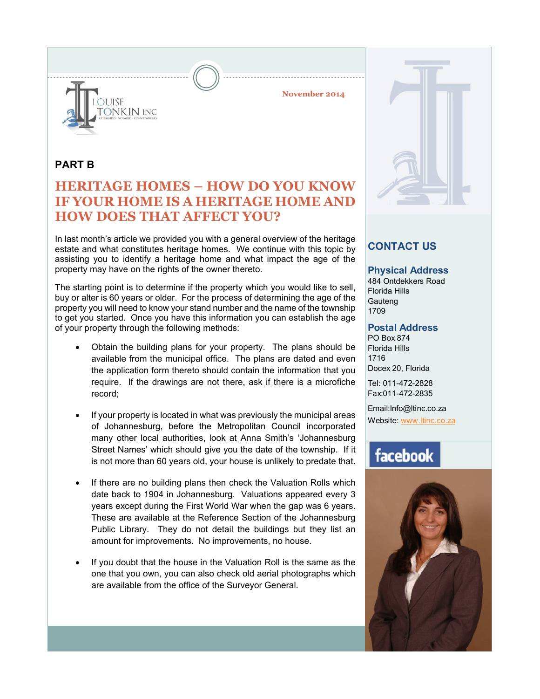

**November 2014**

### **PART B**

# **HERITAGE HOMES – HOW DO YOU KNOW IF YOUR HOME IS A HERITAGE HOME AND HOW DOES THAT AFFECT YOU?**

In last month's article we provided you with a general overview of the heritage estate and what constitutes heritage homes. We continue with this topic by assisting you to identify a heritage home and what impact the age of the property may have on the rights of the owner thereto.

The starting point is to determine if the property which you would like to sell, buy or alter is 60 years or older. For the process of determining the age of the property you will need to know your stand number and the name of the township to get you started. Once you have this information you can establish the age of your property through the following methods:

- Obtain the building plans for your property. The plans should be available from the municipal office. The plans are dated and even the application form thereto should contain the information that you require. If the drawings are not there, ask if there is a microfiche record;
- If your property is located in what was previously the municipal areas of Johannesburg, before the Metropolitan Council incorporated many other local authorities, look at Anna Smith's 'Johannesburg Street Names' which should give you the date of the township. If it is not more than 60 years old, your house is unlikely to predate that.
- If there are no building plans then check the Valuation Rolls which date back to 1904 in Johannesburg. Valuations appeared every 3 years except during the First World War when the gap was 6 years. These are available at the Reference Section of the Johannesburg Public Library. They do not detail the buildings but they list an amount for improvements. No improvements, no house.
- If you doubt that the house in the Valuation Roll is the same as the one that you own, you can also check old aerial photographs which are available from the office of the Surveyor General.

## **CONTACT US**

### **Physical Address**

484 Ontdekkers Road Florida Hills **Gauteng** 1709

### **Postal Address**

PO Box 874 Florida Hills 1716 Docex 20, Florida

Tel: 011-472-2828 Fax:011-472-2835

Email:Info@ltinc.co.za Website: www.ltinc.co.za

# facebook